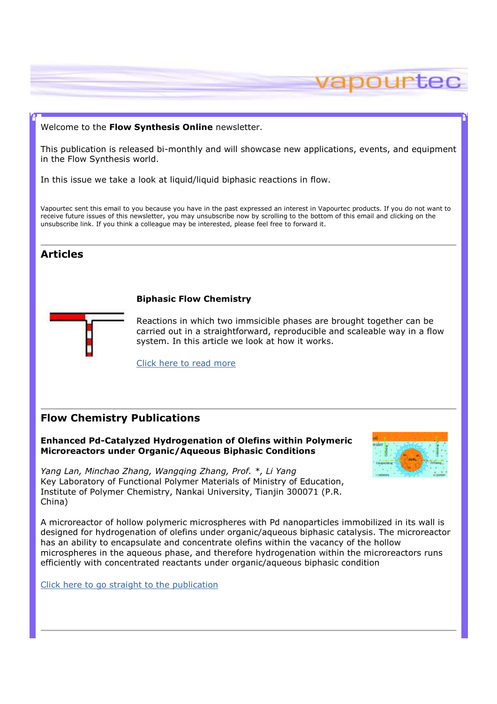## Welcome to the Flow Synthesis Online newsletter.

This publication is released bi-monthly and will showcase new applications, events, and equipment in the Flow Synthesis world.

In this issue we take a look at liquid/liquid biphasic reactions in flow.

Vapourtec sent this email to you because you have in the past expressed an interest in Vapourtec products. If you do not want to receive future issues of this newsletter, you may unsubscribe now by scrolling to the bottom of this email and clicking on the unsubscribe link. If you think a colleague may be interested, please feel free to forward it.

# **Articles**

## Biphasic Flow Chemistry



Reactions in which two immsicible phases are brought together can be carried out in a straightforward, reproducible and scaleable way in a flow system. In this article we look at how it works.

Click here to read more

# Flow Chemistry Publications

### Enhanced Pd-Catalyzed Hydrogenation of Olefins within Polymeric Microreactors under Organic/Aqueous Biphasic Conditions

Yang Lan, Minchao Zhang, Wangqing Zhang, Prof. \*, Li Yang Key Laboratory of Functional Polymer Materials of Ministry of Education, Institute of Polymer Chemistry, Nankai University, Tianjin 300071 (P.R. China)



apourtec

A microreactor of hollow polymeric microspheres with Pd nanoparticles immobilized in its wall is designed for hydrogenation of olefins under organic/aqueous biphasic catalysis. The microreactor has an ability to encapsulate and concentrate olefins within the vacancy of the hollow microspheres in the aqueous phase, and therefore hydrogenation within the microreactors runs efficiently with concentrated reactants under organic/aqueous biphasic condition

Click here to go straight to the publication